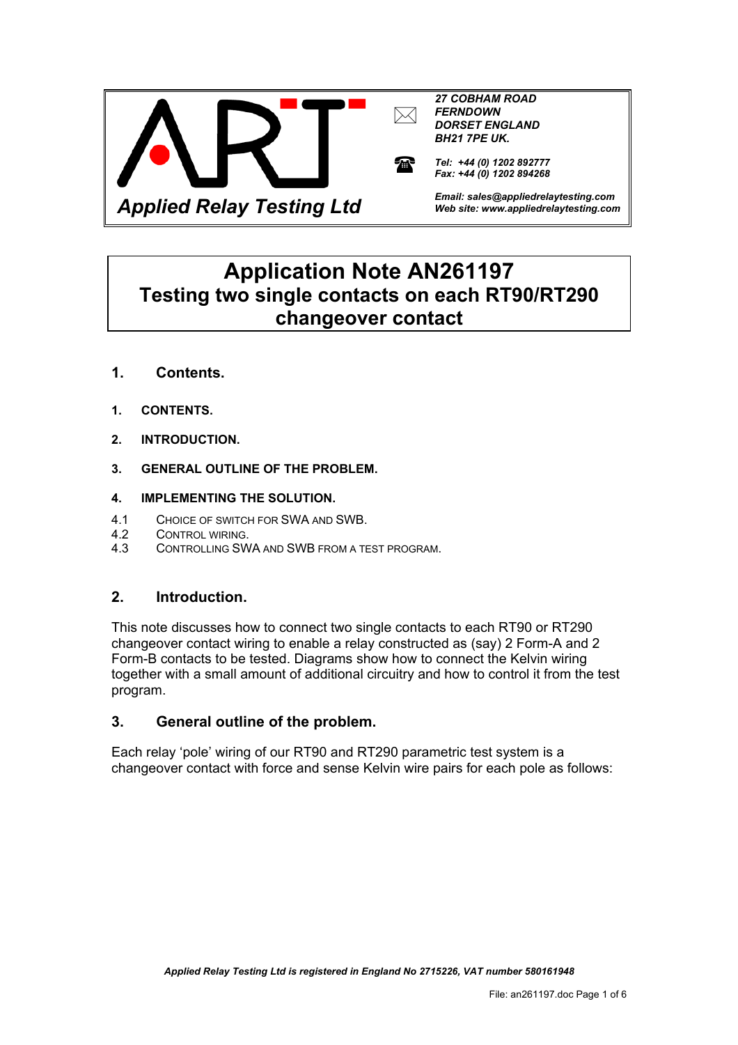



*Tel: +44 (0) 1202 892777 Fax: +44 (0) 1202 894268* 

*Email: sales@appliedrelaytesting.com Web site: www.appliedrelaytesting.com*

# **Application Note AN261197 Testing two single contacts on each RT90/RT290 changeover contact**

- **1. Contents.**
- **1. CONTENTS.**
- **2. INTRODUCTION.**
- **3. GENERAL OUTLINE OF THE PROBLEM.**

#### **4. IMPLEMENTING THE SOLUTION.**

- 4.1 CHOICE OF SWITCH FOR SWA AND SWB.
- 4.2 CONTROL WIRING.
- 4.3 CONTROLLING SWA AND SWB FROM A TEST PROGRAM.

### **2. Introduction.**

This note discusses how to connect two single contacts to each RT90 or RT290 changeover contact wiring to enable a relay constructed as (say) 2 Form-A and 2 Form-B contacts to be tested. Diagrams show how to connect the Kelvin wiring together with a small amount of additional circuitry and how to control it from the test program.

### **3. General outline of the problem.**

Each relay 'pole' wiring of our RT90 and RT290 parametric test system is a changeover contact with force and sense Kelvin wire pairs for each pole as follows: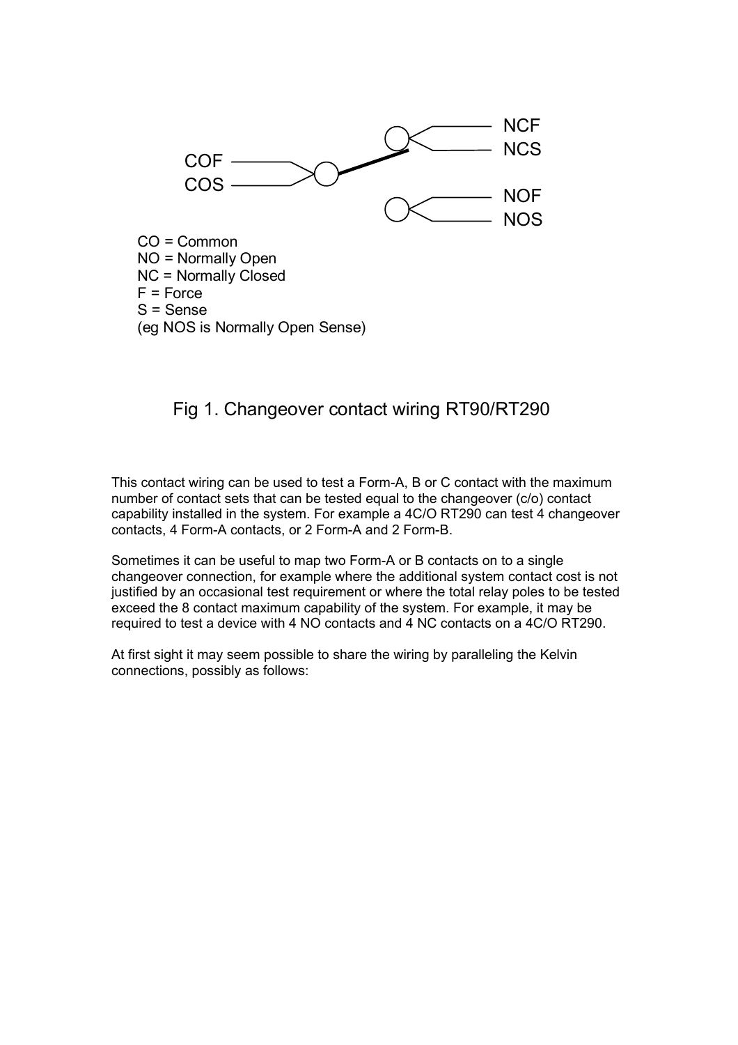

NO = Normally Open NC = Normally Closed  $F = Force$ S = Sense (eg NOS is Normally Open Sense)

# Fig 1. Changeover contact wiring RT90/RT290

This contact wiring can be used to test a Form-A, B or C contact with the maximum number of contact sets that can be tested equal to the changeover (c/o) contact capability installed in the system. For example a 4C/O RT290 can test 4 changeover contacts, 4 Form-A contacts, or 2 Form-A and 2 Form-B.

Sometimes it can be useful to map two Form-A or B contacts on to a single changeover connection, for example where the additional system contact cost is not justified by an occasional test requirement or where the total relay poles to be tested exceed the 8 contact maximum capability of the system. For example, it may be required to test a device with 4 NO contacts and 4 NC contacts on a 4C/O RT290.

At first sight it may seem possible to share the wiring by paralleling the Kelvin connections, possibly as follows: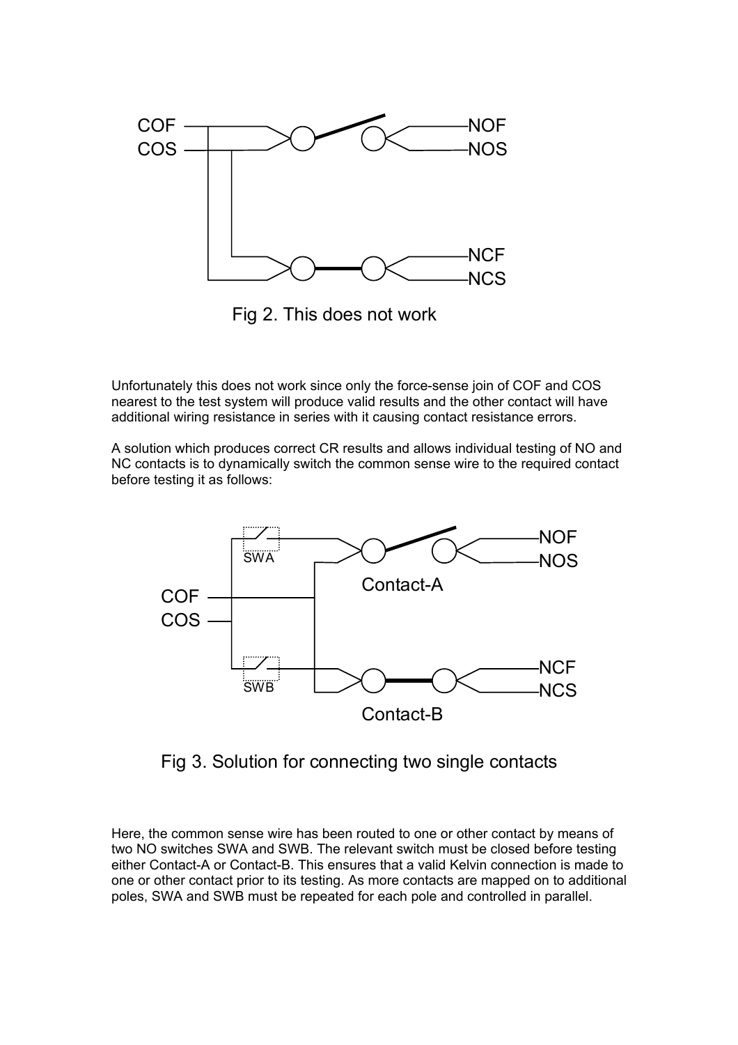

Fig 2. This does not work

Unfortunately this does not work since only the force-sense join of COF and COS nearest to the test system will produce valid results and the other contact will have additional wiring resistance in series with it causing contact resistance errors.

A solution which produces correct CR results and allows individual testing of NO and NC contacts is to dynamically switch the common sense wire to the required contact before testing it as follows:



Fig 3. Solution for connecting two single contacts

Here, the common sense wire has been routed to one or other contact by means of two NO switches SWA and SWB. The relevant switch must be closed before testing either Contact-A or Contact-B. This ensures that a valid Kelvin connection is made to one or other contact prior to its testing. As more contacts are mapped on to additional poles, SWA and SWB must be repeated for each pole and controlled in parallel.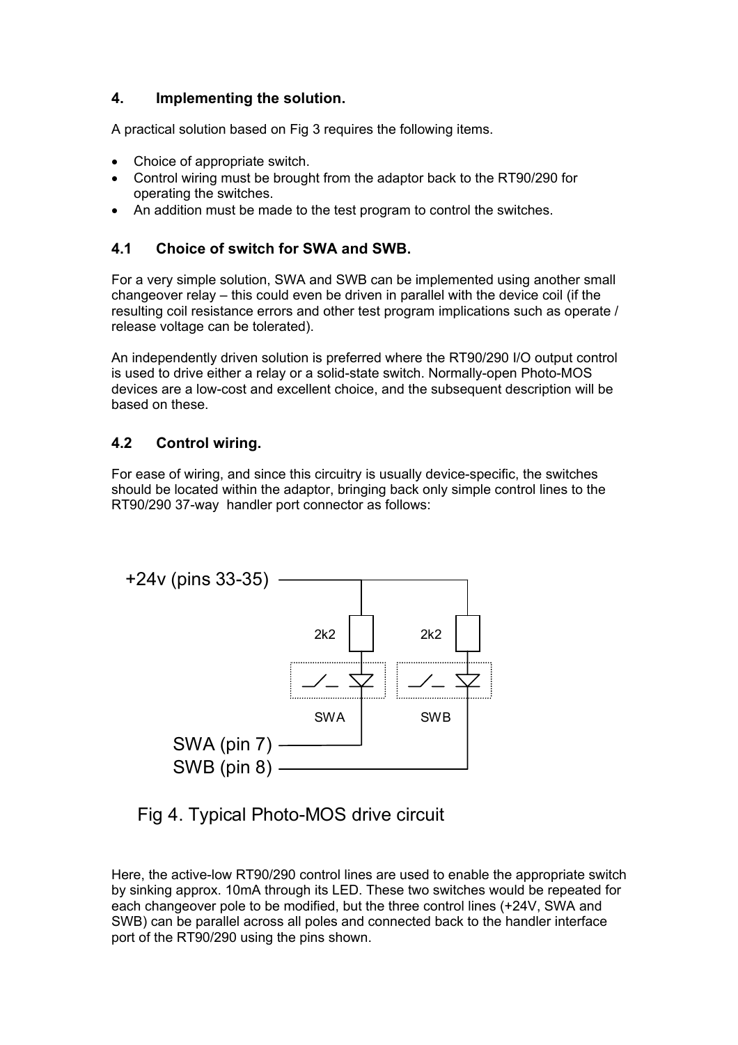# **4. Implementing the solution.**

A practical solution based on Fig 3 requires the following items.

- Choice of appropriate switch.
- Control wiring must be brought from the adaptor back to the RT90/290 for operating the switches.
- An addition must be made to the test program to control the switches.

## **4.1 Choice of switch for SWA and SWB.**

For a very simple solution, SWA and SWB can be implemented using another small changeover relay – this could even be driven in parallel with the device coil (if the resulting coil resistance errors and other test program implications such as operate / release voltage can be tolerated).

An independently driven solution is preferred where the RT90/290 I/O output control is used to drive either a relay or a solid-state switch. Normally-open Photo-MOS devices are a low-cost and excellent choice, and the subsequent description will be based on these.

## **4.2 Control wiring.**

For ease of wiring, and since this circuitry is usually device-specific, the switches should be located within the adaptor, bringing back only simple control lines to the RT90/290 37-way handler port connector as follows:



Fig 4. Typical Photo-MOS drive circuit

Here, the active-low RT90/290 control lines are used to enable the appropriate switch by sinking approx. 10mA through its LED. These two switches would be repeated for each changeover pole to be modified, but the three control lines (+24V, SWA and SWB) can be parallel across all poles and connected back to the handler interface port of the RT90/290 using the pins shown.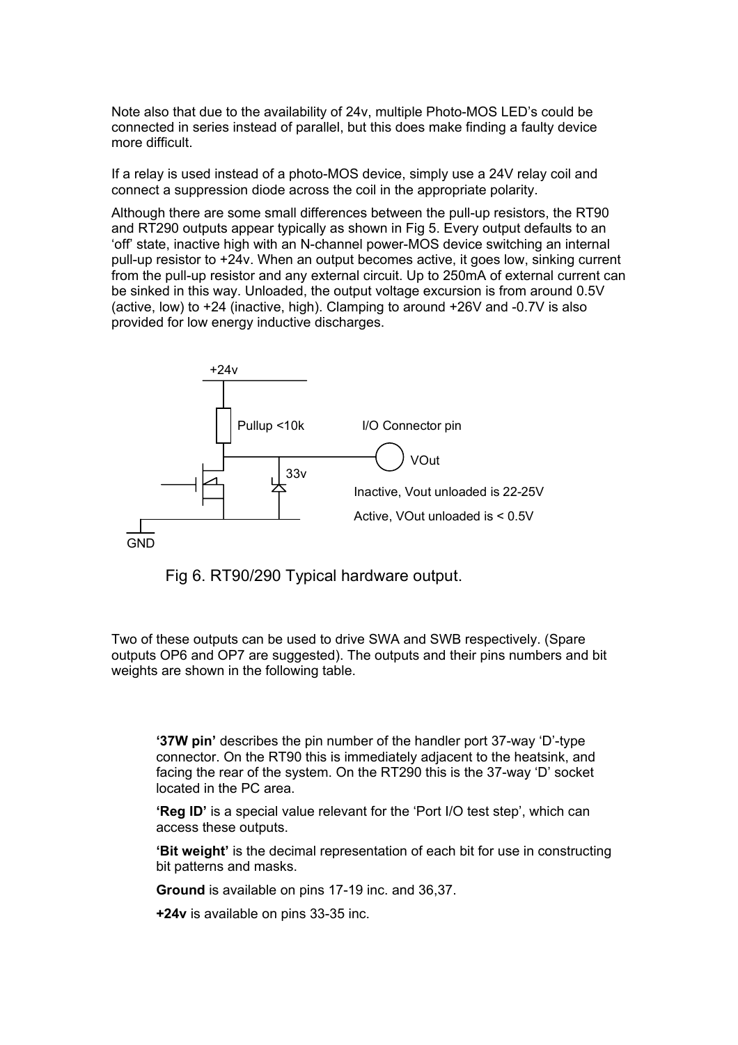Note also that due to the availability of 24v, multiple Photo-MOS LED's could be connected in series instead of parallel, but this does make finding a faulty device more difficult.

If a relay is used instead of a photo-MOS device, simply use a 24V relay coil and connect a suppression diode across the coil in the appropriate polarity.

Although there are some small differences between the pull-up resistors, the RT90 and RT290 outputs appear typically as shown in Fig 5. Every output defaults to an 'off' state, inactive high with an N-channel power-MOS device switching an internal pull-up resistor to +24v. When an output becomes active, it goes low, sinking current from the pull-up resistor and any external circuit. Up to 250mA of external current can be sinked in this way. Unloaded, the output voltage excursion is from around 0.5V (active, low) to +24 (inactive, high). Clamping to around +26V and -0.7V is also provided for low energy inductive discharges.



Fig 6. RT90/290 Typical hardware output.

Two of these outputs can be used to drive SWA and SWB respectively. (Spare outputs OP6 and OP7 are suggested). The outputs and their pins numbers and bit weights are shown in the following table.

**'37W pin'** describes the pin number of the handler port 37-way 'D'-type connector. On the RT90 this is immediately adjacent to the heatsink, and facing the rear of the system. On the RT290 this is the 37-way 'D' socket located in the PC area.

**'Reg ID'** is a special value relevant for the 'Port I/O test step', which can access these outputs.

**'Bit weight'** is the decimal representation of each bit for use in constructing bit patterns and masks.

**Ground** is available on pins 17-19 inc. and 36,37.

**+24v** is available on pins 33-35 inc.